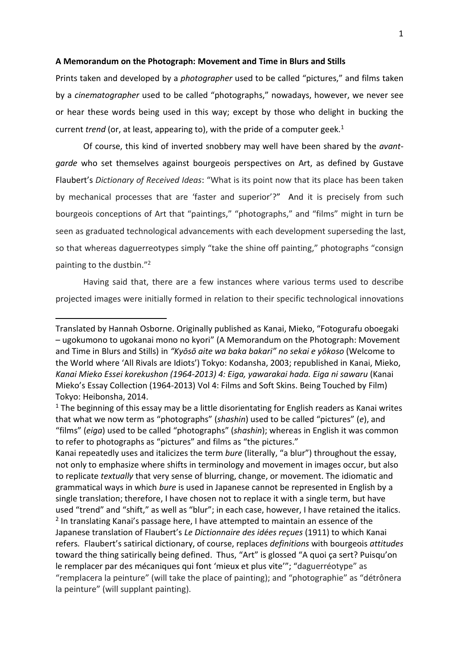## **A Memorandum on the Photograph: Movement and Time in Blurs and Stills**

Prints taken and developed by a *photographer* used to be called "pictures," and films taken by a *cinematographer* used to be called "photographs," nowadays, however, we never see or hear these words being used in this way; except by those who delight in bucking the current *trend* (or, at least, appearing to), with the pride of a computer geek. 1

Of course, this kind of inverted snobbery may well have been shared by the *avantgarde* who set themselves against bourgeois perspectives on Art, as defined by Gustave Flaubert's *Dictionary of Received Ideas*: "What is its point now that its place has been taken by mechanical processes that are 'faster and superior'?" And it is precisely from such bourgeois conceptions of Art that "paintings," "photographs," and "films" might in turn be seen as graduated technological advancements with each development superseding the last, so that whereas daguerreotypes simply "take the shine off painting," photographs "consign painting to the dustbin." 2

Having said that, there are a few instances where various terms used to describe projected images were initially formed in relation to their specific technological innovations

Translated by Hannah Osborne. Originally published as Kanai, Mieko, "Fotogurafu oboegaki – ugokumono to ugokanai mono no kyori" (A Memorandum on the Photograph: Movement and Time in Blurs and Stills) in *"Kyōsō aite wa baka bakari" no sekai e yōkoso* (Welcome to the World where 'All Rivals are Idiots') Tokyo: Kodansha, 2003; republished in Kanai, Mieko, *Kanai Mieko Essei korekushon (1964-2013) 4: Eiga, yawarakai hada. Eiga ni sawaru* (Kanai Mieko's Essay Collection (1964-2013) Vol 4: Films and Soft Skins. Being Touched by Film) Tokyo: Heibonsha, 2014.

 $<sup>1</sup>$  The beginning of this essay may be a little disorientating for English readers as Kanai writes</sup> that what we now term as "photographs" (*shashin*) used to be called "pictures" (*e*), and "films" (*eiga*) used to be called "photographs" (*shashin*); whereas in English it was common to refer to photographs as "pictures" and films as "the pictures."

Kanai repeatedly uses and italicizes the term *bure* (literally, "a blur") throughout the essay, not only to emphasize where shifts in terminology and movement in images occur, but also to replicate *textually* that very sense of blurring, change, or movement. The idiomatic and grammatical ways in which *bure* is used in Japanese cannot be represented in English by a single translation; therefore, I have chosen not to replace it with a single term, but have used "trend" and "shift," as well as "blur"; in each case, however, I have retained the italics. <sup>2</sup> In translating Kanai's passage here, I have attempted to maintain an essence of the Japanese translation of Flaubert's *Le Dictionnaire des idées reçues* (1911) to which Kanai refers*.* Flaubert's satirical dictionary, of course, replaces *definitions* with bourgeois *attitudes*  toward the thing satirically being defined. Thus, "Art" is glossed "A quoi ça sert? Puisqu'on le remplacer par des mécaniques qui font 'mieux et plus vite'"; "daguerréotype" as "remplacera la peinture" (will take the place of painting); and "photographie" as "détrônera la peinture" (will supplant painting).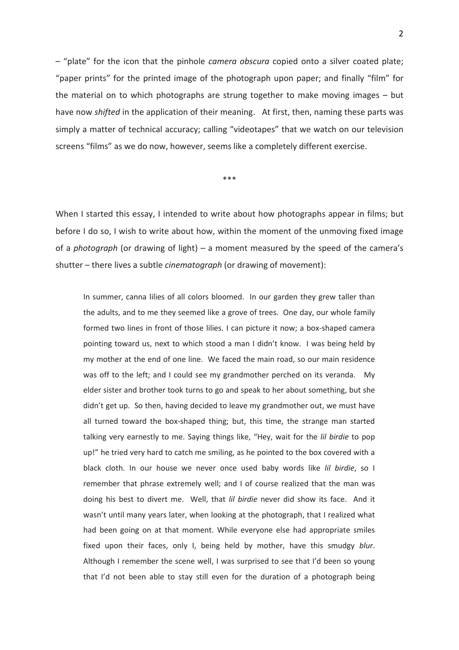– "plate" for the icon that the pinhole *camera obscura* copied onto a silver coated plate; "paper prints" for the printed image of the photograph upon paper; and finally "film" for the material on to which photographs are strung together to make moving images – but have now *shifted* in the application of their meaning. At first, then, naming these parts was simply a matter of technical accuracy; calling "videotapes" that we watch on our television screens "films" as we do now, however, seems like a completely different exercise.

## \*\*\*

When I started this essay, I intended to write about how photographs appear in films; but before I do so, I wish to write about how, within the moment of the unmoving fixed image of a *photograph* (or drawing of light) – a moment measured by the speed of the camera's shutter – there lives a subtle *cinematograph* (or drawing of movement):

In summer, canna lilies of all colors bloomed. In our garden they grew taller than the adults, and to me they seemed like a grove of trees. One day, our whole family formed two lines in front of those lilies. I can picture it now; a box-shaped camera pointing toward us, next to which stood a man I didn't know. I was being held by my mother at the end of one line. We faced the main road, so our main residence was off to the left; and I could see my grandmother perched on its veranda. My elder sister and brother took turns to go and speak to her about something, but she didn't get up. So then, having decided to leave my grandmother out, we must have all turned toward the box-shaped thing; but, this time, the strange man started talking very earnestly to me. Saying things like, "Hey, wait for the *lil birdie* to pop up!" he tried very hard to catch me smiling, as he pointed to the box covered with a black cloth. In our house we never once used baby words like *lil birdie*, so I remember that phrase extremely well; and I of course realized that the man was doing his best to divert me. Well, that *lil birdie* never did show its face. And it wasn't until many years later, when looking at the photograph, that I realized what had been going on at that moment. While everyone else had appropriate smiles fixed upon their faces, only I, being held by mother, have this smudgy *blur*. Although I remember the scene well, I was surprised to see that I'd been so young that I'd not been able to stay still even for the duration of a photograph being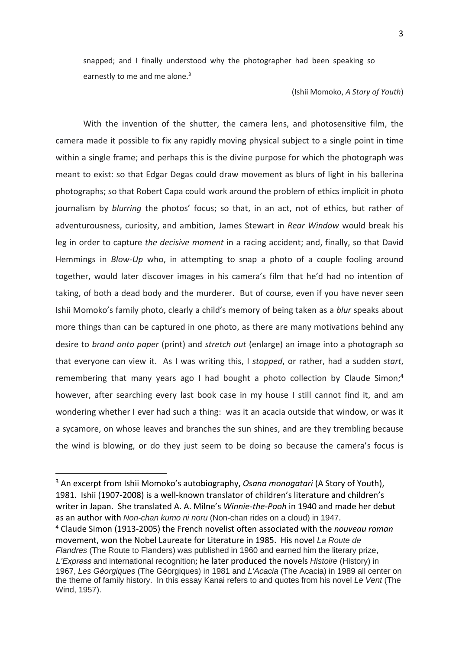snapped; and I finally understood why the photographer had been speaking so earnestly to me and me alone.<sup>3</sup>

## (Ishii Momoko, *A Story of Youth*)

With the invention of the shutter, the camera lens, and photosensitive film, the camera made it possible to fix any rapidly moving physical subject to a single point in time within a single frame; and perhaps this is the divine purpose for which the photograph was meant to exist: so that Edgar Degas could draw movement as blurs of light in his ballerina photographs; so that Robert Capa could work around the problem of ethics implicit in photo journalism by *blurring* the photos' focus; so that, in an act, not of ethics, but rather of adventurousness, curiosity, and ambition, James Stewart in *Rear Window* would break his leg in order to capture *the decisive moment* in a racing accident; and, finally, so that David Hemmings in *Blow-Up* who, in attempting to snap a photo of a couple fooling around together, would later discover images in his camera's film that he'd had no intention of taking, of both a dead body and the murderer. But of course, even if you have never seen Ishii Momoko's family photo, clearly a child's memory of being taken as a *blur* speaks about more things than can be captured in one photo, as there are many motivations behind any desire to *brand onto paper* (print) and *stretch out* (enlarge) an image into a photograph so that everyone can view it. As I was writing this, I *stopped*, or rather, had a sudden *start*, remembering that many years ago I had bought a photo collection by Claude Simon;<sup>4</sup> however, after searching every last book case in my house I still cannot find it, and am wondering whether I ever had such a thing: was it an acacia outside that window, or was it a sycamore, on whose leaves and branches the sun shines, and are they trembling because the wind is blowing, or do they just seem to be doing so because the camera's focus is

<sup>3</sup> An excerpt from Ishii Momoko's autobiography, *Osana monogatari* (A Story of Youth), 1981. Ishii (1907-2008) is a well-known translator of children's literature and children's writer in Japan. She translated A. A. Milne's *Winnie-the-Pooh* in 1940 and made her debut as an author with *Non-chan kumo ni noru* (Non-chan rides on a cloud) in 1947.

<sup>4</sup> Claude Simon (1913-2005) the French novelist often associated with the *nouveau roman* movement, won the Nobel Laureate for Literature in 1985. His novel *La Route de Flandres* (The Route to Flanders) was published in 1960 and earned him the literary prize, *L'Express* and international recognition; he later produced the novels *Histoire* (History) in 1967, *Les Géorgiques* (The Géorgiques) in 1981 and *L'Acacia* (The Acacia) in 1989 all center on the theme of family history. In this essay Kanai refers to and quotes from his novel *Le Vent* (The Wind, 1957).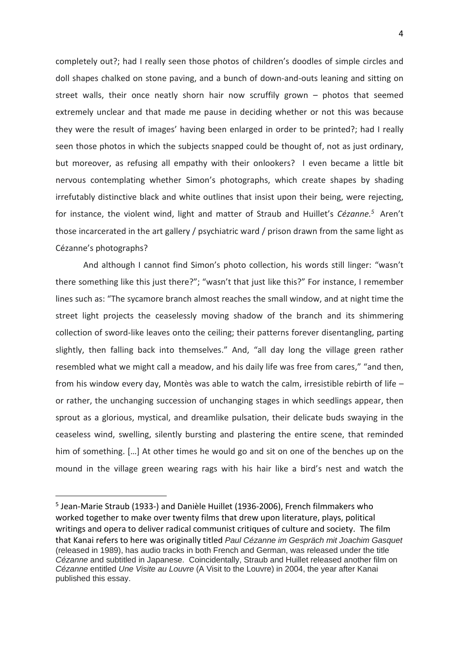completely out?; had I really seen those photos of children's doodles of simple circles and doll shapes chalked on stone paving, and a bunch of down-and-outs leaning and sitting on street walls, their once neatly shorn hair now scruffily grown – photos that seemed extremely unclear and that made me pause in deciding whether or not this was because they were the result of images' having been enlarged in order to be printed?; had I really seen those photos in which the subjects snapped could be thought of, not as just ordinary, but moreover, as refusing all empathy with their onlookers? I even became a little bit nervous contemplating whether Simon's photographs, which create shapes by shading irrefutably distinctive black and white outlines that insist upon their being, were rejecting, for instance, the violent wind, light and matter of Straub and Huillet's *Cézanne.*<sup>5</sup> Aren't those incarcerated in the art gallery / psychiatric ward / prison drawn from the same light as Cézanne's photographs?

And although I cannot find Simon's photo collection, his words still linger: "wasn't there something like this just there?"; "wasn't that just like this?" For instance, I remember lines such as: "The sycamore branch almost reaches the small window, and at night time the street light projects the ceaselessly moving shadow of the branch and its shimmering collection of sword-like leaves onto the ceiling; their patterns forever disentangling, parting slightly, then falling back into themselves." And, "all day long the village green rather resembled what we might call a meadow, and his daily life was free from cares," "and then, from his window every day, Montès was able to watch the calm, irresistible rebirth of life – or rather, the unchanging succession of unchanging stages in which seedlings appear, then sprout as a glorious, mystical, and dreamlike pulsation, their delicate buds swaying in the ceaseless wind, swelling, silently bursting and plastering the entire scene, that reminded him of something. […] At other times he would go and sit on one of the benches up on the mound in the village green wearing rags with his hair like a bird's nest and watch the

<sup>&</sup>lt;sup>5</sup> Jean-Marie Straub (1933-) and Danièle Huillet (1936-2006), French filmmakers who worked together to make over twenty films that drew upon literature, plays, political writings and opera to deliver radical communist critiques of culture and society. The film that Kanai refers to here was originally titled *Paul Cézanne im Gespräch mit Joachim Gasquet* (released in 1989), has audio tracks in both French and German, was released under the title *Cézanne* and subtitled in Japanese. Coincidentally, Straub and Huillet released another film on *Cézanne* entitled *Une Visite au Louvre* (A Visit to the Louvre) in 2004, the year after Kanai published this essay.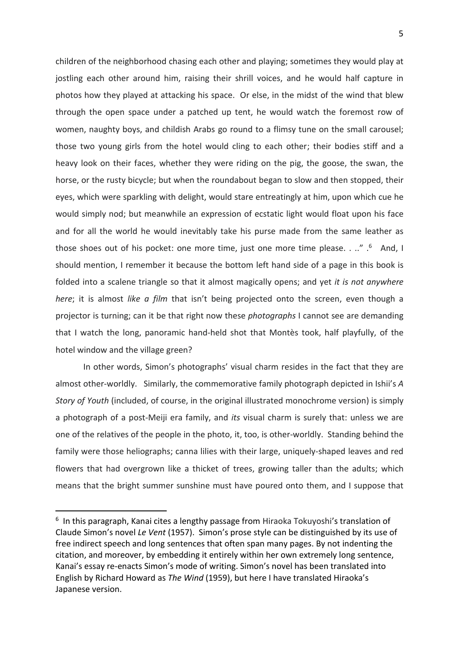children of the neighborhood chasing each other and playing; sometimes they would play at jostling each other around him, raising their shrill voices, and he would half capture in photos how they played at attacking his space. Or else, in the midst of the wind that blew through the open space under a patched up tent, he would watch the foremost row of women, naughty boys, and childish Arabs go round to a flimsy tune on the small carousel; those two young girls from the hotel would cling to each other; their bodies stiff and a heavy look on their faces, whether they were riding on the pig, the goose, the swan, the horse, or the rusty bicycle; but when the roundabout began to slow and then stopped, their eyes, which were sparkling with delight, would stare entreatingly at him, upon which cue he would simply nod; but meanwhile an expression of ecstatic light would float upon his face and for all the world he would inevitably take his purse made from the same leather as those shoes out of his pocket: one more time, just one more time please. . .." .<sup>6</sup> And, I should mention, I remember it because the bottom left hand side of a page in this book is folded into a scalene triangle so that it almost magically opens; and yet *it is not anywhere here*; it is almost *like a film* that isn't being projected onto the screen, even though a projector is turning; can it be that right now these *photographs* I cannot see are demanding that I watch the long, panoramic hand-held shot that Montès took, half playfully, of the hotel window and the village green?

In other words, Simon's photographs' visual charm resides in the fact that they are almost other-worldly. Similarly, the commemorative family photograph depicted in Ishii's *A Story of Youth* (included, of course, in the original illustrated monochrome version) is simply a photograph of a post-Meiji era family, and *its* visual charm is surely that: unless we are one of the relatives of the people in the photo, it, too, is other-worldly. Standing behind the family were those heliographs; canna lilies with their large, uniquely-shaped leaves and red flowers that had overgrown like a thicket of trees, growing taller than the adults; which means that the bright summer sunshine must have poured onto them, and I suppose that

<sup>&</sup>lt;sup>6</sup> In this paragraph, Kanai cites a lengthy passage from Hiraoka Tokuyoshi's translation of Claude Simon's novel *Le Vent* (1957). Simon's prose style can be distinguished by its use of free indirect speech and long sentences that often span many pages. By not indenting the citation, and moreover, by embedding it entirely within her own extremely long sentence, Kanai's essay re-enacts Simon's mode of writing. Simon's novel has been translated into English by Richard Howard as *The Wind* (1959), but here I have translated Hiraoka's Japanese version.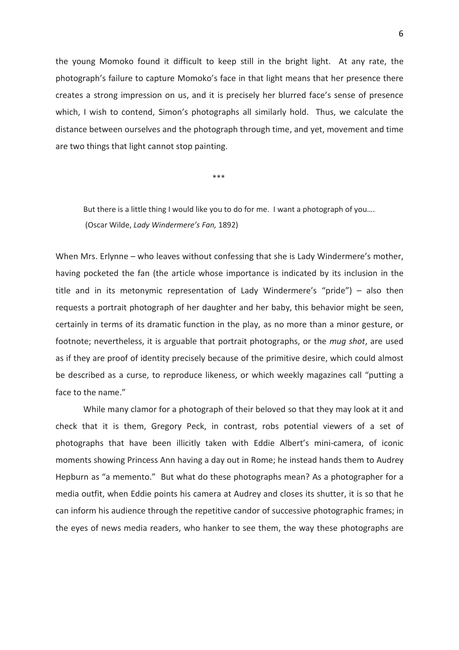the young Momoko found it difficult to keep still in the bright light. At any rate, the photograph's failure to capture Momoko's face in that light means that her presence there creates a strong impression on us, and it is precisely her blurred face's sense of presence which, I wish to contend, Simon's photographs all similarly hold. Thus, we calculate the distance between ourselves and the photograph through time, and yet, movement and time are two things that light cannot stop painting.

\*\*\*

But there is a little thing I would like you to do for me. I want a photograph of you…. (Oscar Wilde, *Lady Windermere's Fan,* 1892)

When Mrs. Erlynne – who leaves without confessing that she is Lady Windermere's mother, having pocketed the fan (the article whose importance is indicated by its inclusion in the title and in its metonymic representation of Lady Windermere's "pride") – also then requests a portrait photograph of her daughter and her baby, this behavior might be seen, certainly in terms of its dramatic function in the play, as no more than a minor gesture, or footnote; nevertheless, it is arguable that portrait photographs, or the *mug shot*, are used as if they are proof of identity precisely because of the primitive desire, which could almost be described as a curse, to reproduce likeness, or which weekly magazines call "putting a face to the name."

While many clamor for a photograph of their beloved so that they may look at it and check that it is them, Gregory Peck, in contrast, robs potential viewers of a set of photographs that have been illicitly taken with Eddie Albert's mini-camera, of iconic moments showing Princess Ann having a day out in Rome; he instead hands them to Audrey Hepburn as "a memento." But what do these photographs mean? As a photographer for a media outfit, when Eddie points his camera at Audrey and closes its shutter, it is so that he can inform his audience through the repetitive candor of successive photographic frames; in the eyes of news media readers, who hanker to see them, the way these photographs are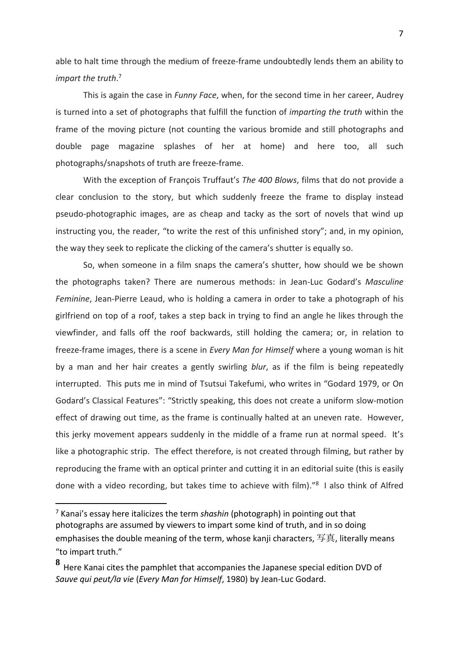able to halt time through the medium of freeze-frame undoubtedly lends them an ability to *impart the truth*. 7

This is again the case in *Funny Face*, when, for the second time in her career, Audrey is turned into a set of photographs that fulfill the function of *imparting the truth* within the frame of the moving picture (not counting the various bromide and still photographs and double page magazine splashes of her at home) and here too, all such photographs/snapshots of truth are freeze-frame.

With the exception of François Truffaut's *The 400 Blows*, films that do not provide a clear conclusion to the story, but which suddenly freeze the frame to display instead pseudo-photographic images, are as cheap and tacky as the sort of novels that wind up instructing you, the reader, "to write the rest of this unfinished story"; and, in my opinion, the way they seek to replicate the clicking of the camera's shutter is equally so.

So, when someone in a film snaps the camera's shutter, how should we be shown the photographs taken? There are numerous methods: in Jean-Luc Godard's *Masculine Feminine*, Jean-Pierre Leaud, who is holding a camera in order to take a photograph of his girlfriend on top of a roof, takes a step back in trying to find an angle he likes through the viewfinder, and falls off the roof backwards, still holding the camera; or, in relation to freeze-frame images, there is a scene in *Every Man for Himself* where a young woman is hit by a man and her hair creates a gently swirling *blur*, as if the film is being repeatedly interrupted. This puts me in mind of Tsutsui Takefumi, who writes in "Godard 1979, or On Godard's Classical Features": "Strictly speaking, this does not create a uniform slow-motion effect of drawing out time, as the frame is continually halted at an uneven rate. However, this jerky movement appears suddenly in the middle of a frame run at normal speed. It's like a photographic strip. The effect therefore, is not created through filming, but rather by reproducing the frame with an optical printer and cutting it in an editorial suite (this is easily done with a video recording, but takes time to achieve with film)."<sup>8</sup> I also think of Alfred

<sup>7</sup> Kanai's essay here italicizes the term *shashin* (photograph) in pointing out that photographs are assumed by viewers to impart some kind of truth, and in so doing emphasises the double meaning of the term, whose kanji characters,  $\overline{\mathcal{F}}$ 真, literally means "to impart truth."

**<sup>8</sup>** Here Kanai cites the pamphlet that accompanies the Japanese special edition DVD of *Sauve qui peut/la vie* (*Every Man for Himself*, 1980) by Jean-Luc Godard.